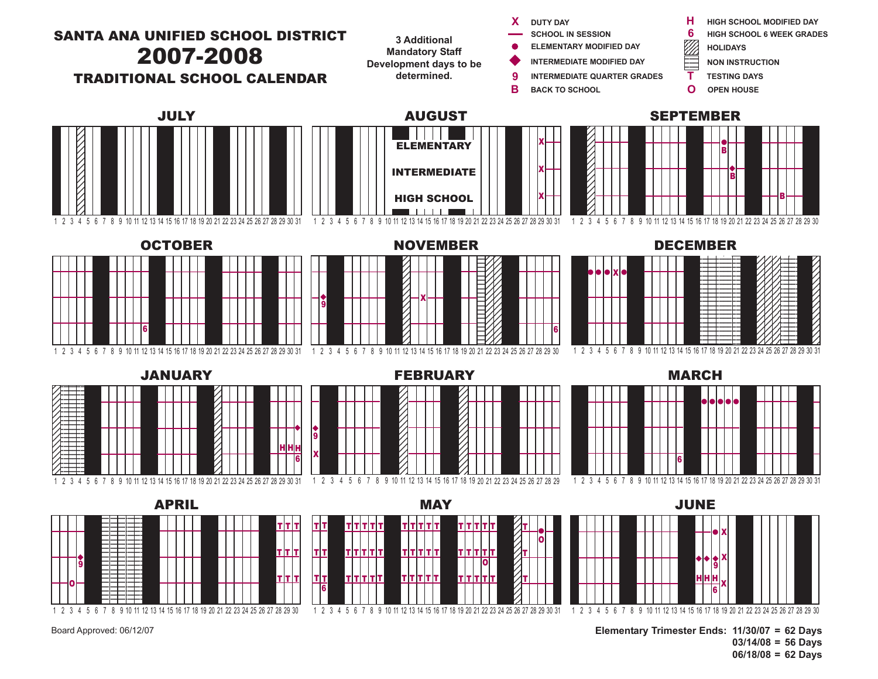

Board Approved: 06/12/07

**Elementary Trimester Ends: 11/30/07 = 62 Days 03/14/08 = 56 Days 06/18/08 = 62 Days**